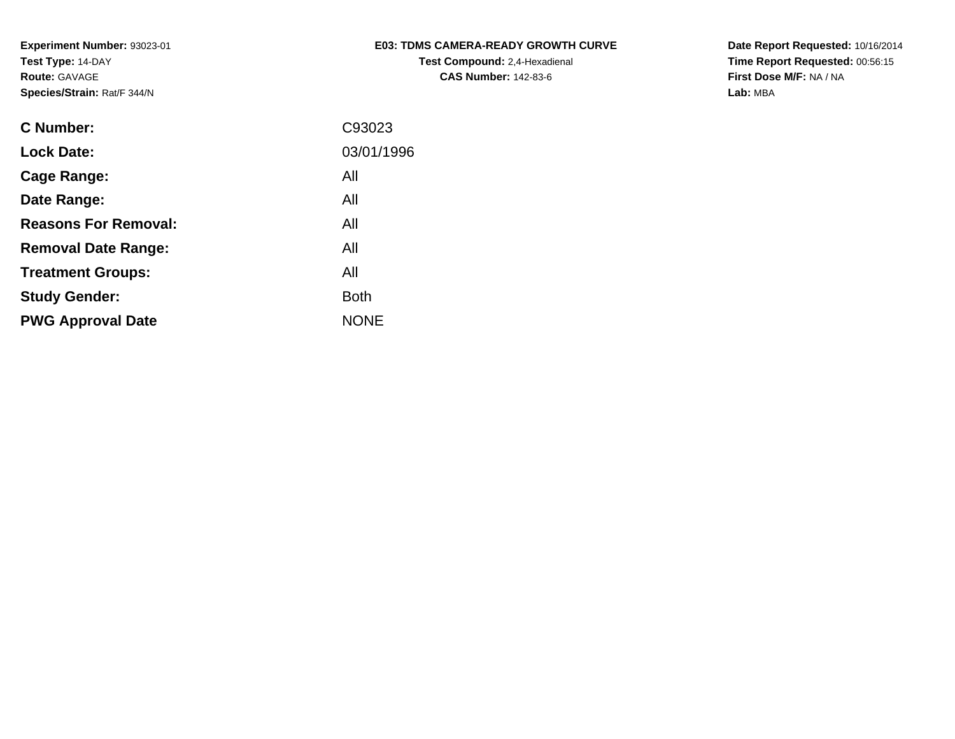| <b>E03: TDMS CAMERA-READY GROWTH CURVE</b> |
|--------------------------------------------|
| <b>Test Compound: 2.4-Hexadienal</b>       |
| <b>CAS Number: 142-83-6</b>                |

**Date Report Requested:** 10/16/2014 **Time Report Requested:** 00:56:15**First Dose M/F:** NA / NA**Lab:** MBA

| <b>C</b> Number:            | C93023      |
|-----------------------------|-------------|
| <b>Lock Date:</b>           | 03/01/1996  |
| Cage Range:                 | All         |
| Date Range:                 | All         |
| <b>Reasons For Removal:</b> | All         |
| <b>Removal Date Range:</b>  | All         |
| <b>Treatment Groups:</b>    | All         |
| <b>Study Gender:</b>        | <b>Both</b> |
| <b>PWG Approval Date</b>    | <b>NONE</b> |
|                             |             |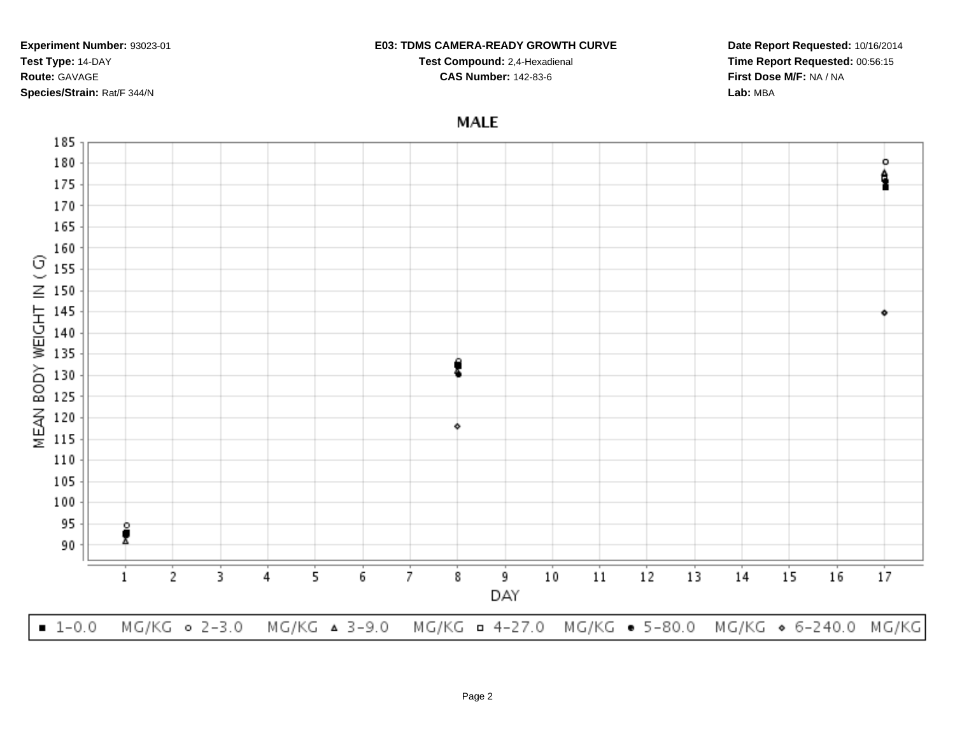#### **E03: TDMS CAMERA-READY GROWTH CURVE**

**Test Compound:** 2,4-Hexadienal **CAS Number:** 142-83-6

**Date Report Requested:** 10/16/2014**Time Report Requested:** 00:56:15**First Dose M/F:** NA / NA**Lab:** MBA

# **MALE**

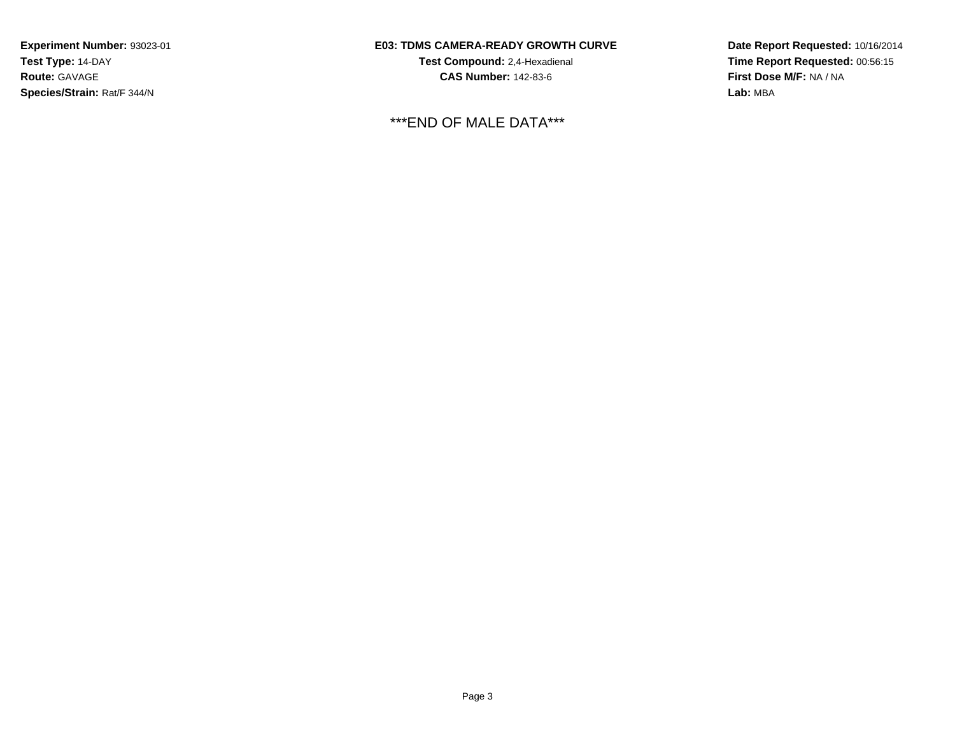### **E03: TDMS CAMERA-READY GROWTH CURVE**

**Test Compound:** 2,4-Hexadienal **CAS Number:** 142-83-6

\*\*\*END OF MALE DATA\*\*\*

**Date Report Requested:** 10/16/2014**Time Report Requested:** 00:56:15**First Dose M/F:** NA / NA**Lab:** MBA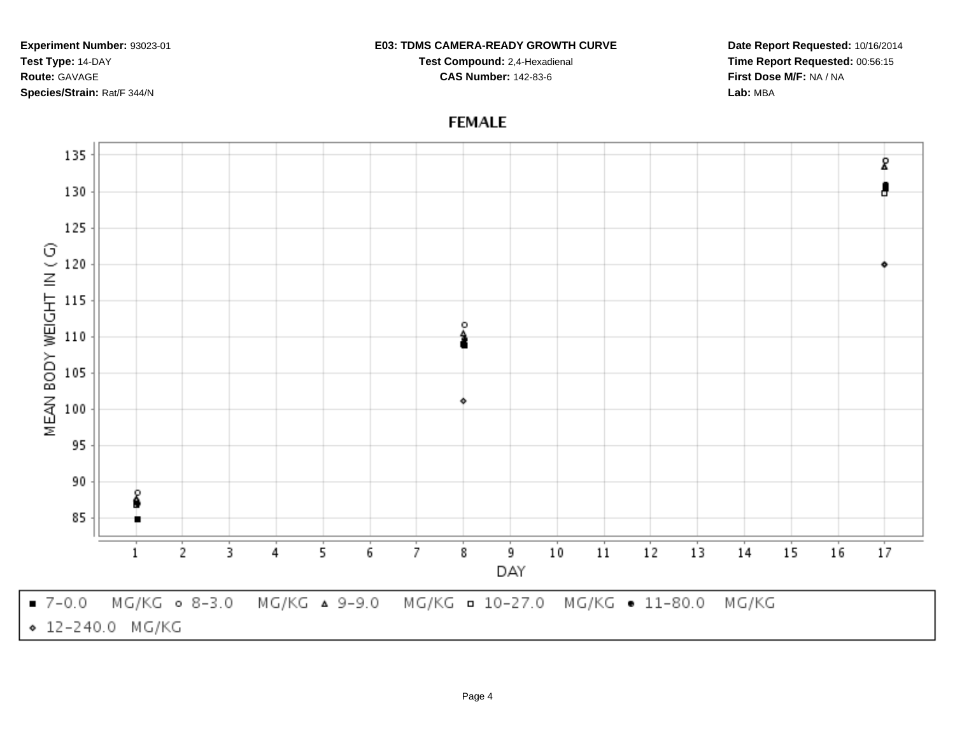#### **E03: TDMS CAMERA-READY GROWTH CURVE**

**Test Compound:** 2,4-Hexadienal **CAS Number:** 142-83-6

**Date Report Requested:** 10/16/2014**Time Report Requested:** 00:56:15**First Dose M/F:** NA / NA**Lab:** MBA

## **FEMALE**